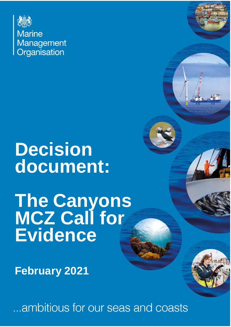

**Marine** Management Organisation

# **Decision document:**

**The Canyons MCZ Call for Evidence**

**February 2021**

...ambitious for our seas and coasts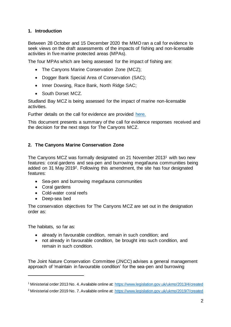# **1. Introduction**

Between 28 October and 15 December 2020 the MMO ran a call for evidence to seek views on the draft assessments of the impacts of fishing and non-licensable activities in five marine protected areas (MPAs).

The four MPAs which are being assessed for the impact of fishing are:

- The Canyons Marine Conservation Zone (MCZ);
- Dogger Bank Special Area of Conservation (SAC);
- Inner Dowsing, Race Bank, North Ridge SAC;
- South Dorset MCZ.

Studland Bay MCZ is being assessed for the impact of marine non-licensable activities.

Further details on the call for evidence are provided [here.](https://www.gov.uk/government/publications/managing-fisheries-in-marine-protection-areas-call-for-evidence)

This document presents a summary of the call for evidence responses received and the decision for the next steps for The Canyons MCZ.

# **2. The Canyons Marine Conservation Zone**

The Canyons MCZ was formally designated on 21 November 2013<sup>1</sup> with two new features: coral gardens and sea-pen and burrowing megafauna communities being added on 31 May 20192. Following this amendment, the site has four designated features:

- Sea-pen and burrowing megafauna communities
- Coral gardens
- Cold-water coral reefs
- Deep-sea bed

The conservation objectives for The Canyons MCZ are set out in the designation order as:

The habitats, so far as:

- already in favourable condition, remain in such condition; and
- not already in favourable condition, be brought into such condition, and remain in such condition.

The Joint Nature Conservation Committee (JNCC) advises a general management approach of 'maintain in favourable condition' for the sea-pen and burrowing

<sup>1</sup> Ministerial order 2013 No. 4. Available online at[: https://www.legislation.gov.uk/ukmo/2013/4/created](https://www.legislation.gov.uk/ukmo/2013/4/created)

<sup>2</sup> Ministerial order 2019 No. 7. Available online at[: https://www.legislation.gov.uk/ukmo/2019/7/created](https://www.legislation.gov.uk/ukmo/2019/7/created)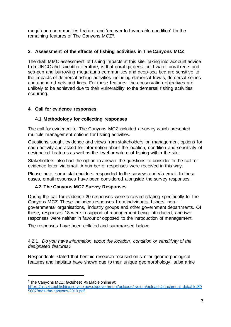megafauna communities feature, and 'recover to favourable condition' for the remaining features of The Canyons MCZ3.

# **3. Assessment of the effects of fishing activities in The Canyons MCZ**

The draft MMO assessment of fishing impacts at this site, taking into account advice from JNCC and scientific literature, is that coral gardens, cold-water coral reefs and sea-pen and burrowing megafauna communities and deep-sea bed are sensitive to the impacts of demersal fishing activities including demersal trawls, demersal seines and anchored nets and lines. For these features, the conservation objectives are unlikely to be achieved due to their vulnerability to the demersal fishing activities occurring.

# **4. Call for evidence responses**

# **4.1. Methodology for collecting responses**

The call for evidence for The Canyons MCZ included a survey which presented multiple management options for fishing activities.

Questions sought evidence and views from stakeholders on management options for each activity and asked for information about the location, condition and sensitivity of designated features as well as the level or nature of fishing within the site.

Stakeholders also had the option to answer the questions to consider in the call for evidence letter via email. A number of responses were received in this way.

Please note, some stakeholders responded to the surveys and via email. In these cases, email responses have been considered alongside the survey responses.

# **4.2. The Canyons MCZ Survey Responses**

During the call for evidence 20 responses were received relating specifically to The Canyons MCZ. These included responses from individuals, fishers, nongovernmental organisations, industry groups and other government departments. Of these, responses 18 were in support of management being introduced, and two responses were neither in favour or opposed to the introduction of management.

The responses have been collated and summarised below:

4.2.1. *Do you have information about the location, condition or sensitivity of the designated features?*

Respondents stated that benthic research focused on similar geomorphological features and habitats have shown due to their unique geomorphology, submarine

<sup>&</sup>lt;sup>3</sup> The Canyons MCZ: factsheet. Available online at:

[https://assets.publishing.service.gov.uk/government/uploads/system/uploads/attachment\\_data/file/80](https://assets.publishing.service.gov.uk/government/uploads/system/uploads/attachment_data/file/805607/mcz-the-canyons-2019.pdf) [5607/mcz-the-canyons-2019.pdf](https://assets.publishing.service.gov.uk/government/uploads/system/uploads/attachment_data/file/805607/mcz-the-canyons-2019.pdf)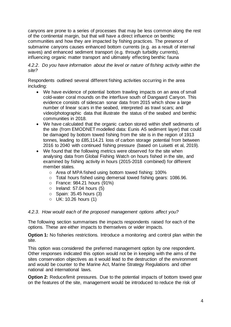canyons are prone to a series of processes that may be less common along the rest of the continental margin, but that will have a direct influence on benthic communities and how they are impacted by fishing practices. The presence of submarine canyons causes enhanced bottom currents (e.g. as a result of internal waves) and enhanced sediment transport (e.g. through turbidity currents), influencing organic matter transport and ultimately effecting benthic fauna

*4.2.2. Do you have information about the level or nature of fishing activity within the site?* 

Respondents outlined several different fishing activities occurring in the area including:

- We have evidence of potential bottom trawling impacts on an area of small cold-water coral mounds on the interfluve south of Dangaard Canyon. This evidence consists of sidescan sonar data from 2015 which show a large number of linear scars in the seabed, interpreted as trawl scars; and video/photographic data that illustrate the status of the seabed and benthic communities in 2018.
- We have calculated that the organic carbon stored within shelf sediments of the site (from EMODNET modelled data: Eunis A5 sediment layer) that could be damaged by bottom towed fishing from the site is in the region of 1913 tonnes, leading to £85,114.21 loss of carbon storage potential from between 2016 to 2040 with continued fishing pressure (based on Luisetti et al, 2019).
- We found that the following metrics were observed for the site when analysing data from Global Fishing Watch on hours fished in the site, and examined by fishing activity in hours (2015-2018 combined) for different member states.
	- o Area of MPA fished using bottom towed fishing: 100%
	- o Total hours fished using demersal towed fishing gears: 1086.96.
	- o France: 984.21 hours (91%)
	- $\circ$  Ireland: 57.04 hours (5)
	- o Spain: 35.45 hours (3)
	- o UK: 10.26 hours (1)

#### *4.2.3. How would each of the proposed management options affect you?*

The following section summarises the impacts respondents raised for each of the options. These are either impacts to themselves or wider impacts.

**Option 1:** No fisheries restrictions. Introduce a monitoring and control plan within the site.

This option was considered the preferred management option by one respondent. Other responses indicated this option would not be in keeping with the aims of the sites conservation objectives as it would lead to the destruction of the environment and would be counter to the Marine Act, Marine Strategy Regulations and other national and international laws.

**Option 2:** Reduce/limit pressures. Due to the potential impacts of bottom towed gear on the features of the site, management would be introduced to reduce the risk of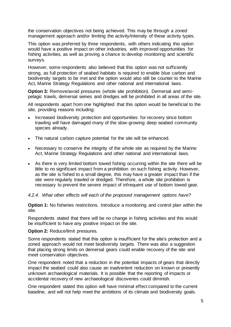the conservation objectives not being achieved. This may be through a zoned management approach and/or limiting the activity/intensity of these activity types.

This option was preferred by three respondents, with others indicating this option would have a positive impact on other industries, with improved opportunities for fishing activities, as well as proving a chance to develop monitoring and scientific surveys.

However, some respondents also believed that this option was not sufficiently strong, as full protection of seabed habitats is required to enable blue carbon and biodiversity targets to be met and the option would also still be counter to the Marine Act, Marine Strategy Regulations and other national and international laws.

**Option 3:** Remove/avoid pressures (whole site prohibition). Demersal and semipelagic trawls, demersal seines and dredges will be prohibited in all areas of the site.

All respondents apart from one highlighted that this option would be beneficial to the site, providing reasons including:

- Increased biodiversity protection and opportunities for recovery since bottom trawling will have damaged many of the slow-growing deep seabed community species already.
- The natural carbon capture potential for the site will be enhanced.
- Necessary to conserve the integrity of the whole site as required by the Marine Act, Marine Strategy Regulations and other national and international laws.
- As there is very limited bottom towed fishing occurring within the site there will be little to no significant impact from a prohibition on such fishing activity. However, as the site is fished to a small degree, this may have a greater impact than if the site were regularly trawled or dredged. Therefore, a whole site prohibition is necessary to prevent the severe impact of infrequent use of bottom towed gear.

#### *4.2.4. What other effects will each of the proposed management options have?*

**Option 1:** No fisheries restrictions. Introduce a monitoring and control plan within the site.

Respondents stated that there will be no change in fishing activities and this would be insufficient to have any positive impact on the site.

#### **Option 2: Reduce/limit pressures.**

Some respondents stated that this option is insufficient for the site's protection and a zoned approach would not meet biodiversity targets. There was also a suggestion that placing strong limits on demersal gears could enable recovery of the site and meet conservation objectives.

One respondent noted that a reduction in the potential impacts of gears that directly impact the seabed could also cause an inadvertent reduction on known or presently unknown archaeological materials. It is possible that the reporting of impacts or accidental recovery of new archaeological discoveries could diminish.

One respondent stated this option will have minimal effect compared to the current baseline, and will not help meet the ambitions of its climate and biodiversity goals.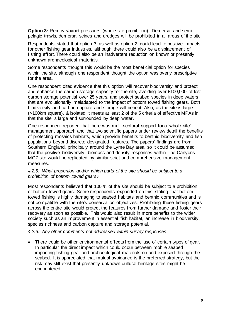**Option 3:** Remove/avoid pressures (whole site prohibition). Demersal and semipelagic trawls, demersal seines and dredges will be prohibited in all areas of the site.

Respondents stated that option 3, as well as option 2, could lead to positive impacts for other fishing gear industries, although there could also be a displacement of fishing effort. There could also be an inadvertent reduction on known or presently unknown archaeological materials.

Some respondents thought this would be the most beneficial option for species within the site, although one respondent thought the option was overly prescriptive for the area.

One respondent cited evidence that this option will recover biodiversity and protect and enhance the carbon storage capacity for the site, avoiding over £100,000 of lost carbon storage potential over 25 years, and protect seabed species in deep waters that are evolutionarily maladapted to the impact of bottom towed fishing gears. Both biodiversity and carbon capture and storage will benefit. Also, as the site is large (>100km square), & isolated it meets at least 2 of the 5 criteria of effective MPAs in that the site is large and surrounded by deep water.

One respondent reported that there was multi-sectoral support for a 'whole site' management approach and that two scientific papers under review detail the benefits of protecting mosaics habitats, which provide benefits to benthic biodiversity and fish populations beyond discrete designated features. The papers' findings are from Southern England, principally around the Lyme Bay area, so it could be assumed that the positive biodiversity, biomass and density responses within The Canyons MCZ site would be replicated by similar strict and comprehensive management measures.

#### *4.2.5. What proportion and/or which parts of the site should be subject to a prohibition of bottom towed gears?*

Most respondents believed that 100 % of the site should be subject to a prohibition of bottom towed gears. Some respondents expanded on this, stating that bottom towed fishing is highly damaging to seabed habitats and benthic communities and is not compatible with the site's conservation objectives. Prohibiting these fishing gears across the entire site would protect the features from further damage and foster their recovery as soon as possible. This would also result in more benefits to the wider society such as an improvement in essential fish habitat, an increase in biodiversity, species richness and carbon capture and storage potential.

*4.2.6. Any other comments not addressed within survey responses* 

• There could be other environmental effects from the use of certain types of gear. In particular the direct impact which could occur between mobile seabed impacting fishing gear and archaeological materials on and exposed through the seabed. It is appreciated that mutual avoidance is the preferred strategy, but the risk may still exist that presently unknown cultural heritage sites might be encountered.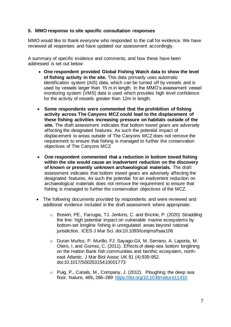#### **5. MMO response to site specific consultation responses**

MMO would like to thank everyone who responded to the call for evidence. We have reviewed all responses and have updated our assessment accordingly.

A summary of specific evidence and comments, and how these have been addressed is set out below:

- **One respondent provided Global Fishing Watch data to show the level of fishing activity in the site.** This data primarily uses automatic identification system (AIS) data, which can be turned off by vessels and is used by vessels larger than 15 m in length. In the MMO's assessment vessel monitoring system (VMS) data is used which provides high level confidence for the activity of vessels greater than 12m in length.
- **Some respondents were commented that the prohibition of fishing activity across The Canyons MCZ could lead to the displacement of these fishing activities increasing pressure on habitats outside of the site.** The draft assessment indicates that bottom towed gears are adversely affecting the designated features. As such the potential impact of displacement to areas outside of The Canyons MCZ does not remove the requirement to ensure that fishing is managed to further the conservation objectives of The Canyons MCZ
- **One respondent commented that a reduction in bottom towed fishing within the site would cause an inadvertent reduction on the discovery of known or presently unknown archaeological materials.** The draft assessment indicates that bottom towed gears are adversely affecting the designated features. As such the potential for an inadvertent reduction on archaeological materials does not remove the requirement to ensure that fishing is managed to further the conservation objectives of the MCZ.
- The following documents provided by respondents and were reviewed and additional evidence included in the draft assessment where appropriate:
	- o Brewin, PE., Farrugia, TJ. Jenkins, C. and Brickle, P. (2020) Straddling the line: high potential impact on vulnerable marine ecosystems by bottom-set longline fishing in unregulated areas beyond national jurisdiction. ICES J Mar Sci. doi:10.1093/icesjms/fsaa106
	- o Duran Muñoz, P. Murillo, FJ. Sayago-Gil, M. Serrano, A. Laporta, M. Otero, I. and Gomez, C. (2011). Effects of deep-sea bottom longlining on the Hatton Bank fish communities and benthic ecosystem, northeast Atlantic. J Mar Biol Assoc UK 91 (4):939-952. doi:10.1017/S0025315410001773
	- o Puig, P., Canals, M., Company, J. (2012). Ploughing the deep sea floor. Nature*,* 489**,** 286–289<https://doi.org/10.1038/nature11410>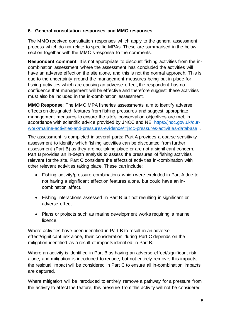# **6. General consultation responses and MMO responses**

The MMO received consultation responses which apply to the general assessment process which do not relate to specific MPAs. These are summarised in the below section together with the MMO's response to the comments.

**Respondent comment**: It is not appropriate to discount fishing activities from the incombination assessment where the assessment has concluded the activities will have an adverse effect on the site alone, and this is not the normal approach. This is due to the uncertainty around the management measures being put in place for fishing activities which are causing an adverse effect, the respondent has no confidence that management will be effective and therefore suggest these activities must also be included in the in-combination assessment.

**MMO Response**: The MMO MPA fisheries assessments aim to identify adverse effects on designated features from fishing pressures and suggest appropriate management measures to ensure the site's conservation objectives are met, in accordance with scientific advice provided by JNCC and NE, [https://jncc.gov.uk/our](https://jncc.gov.uk/our-work/marine-activities-and-pressures-evidence/#jncc-pressures-activities-database)[work/marine-activities-and-pressures-evidence/#jncc-pressures-activities-database](https://jncc.gov.uk/our-work/marine-activities-and-pressures-evidence/#jncc-pressures-activities-database) .

The assessment is completed in several parts: Part A provides a coarse sensitivity assessment to identify which fishing activities can be discounted from further assessment (Part B) as they are not taking place or are not a significant concern. Part B provides an in-depth analysis to assess the pressures of fishing activities relevant for the site. Part C considers the effects of activities in-combination with other relevant activities taking place. These can include:

- Fishing activity/pressure combinations which were excluded in Part A due to not having a significant effect on features alone, but could have an incombination affect.
- Fishing interactions assessed in Part B but not resulting in significant or adverse effect.
- Plans or projects such as marine development works requiring a marine licence.

Where activities have been identified in Part B to result in an adverse effect/significant risk alone, their consideration during Part C depends on the mitigation identified as a result of impacts identified in Part B.

Where an activity is identified in Part B as having an adverse effect/significant risk alone, and mitigation is introduced to reduce, but not entirely remove, this impacts, the residual impact will be considered in Part C to ensure all in-combination impacts are captured.

Where mitigation will be introduced to entirely remove a pathway for a pressure from the activity to affect the feature, this pressure from this activity will not be considered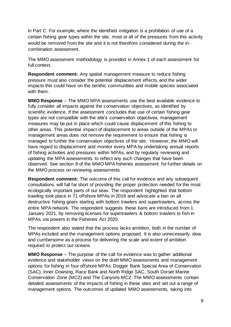in Part C. For example, where the identified mitigation is a prohibition of use of a certain fishing gear types within the site, most or all of the pressures from this activity would be removed from the site and it is not therefore considered during the incombination assessment.

The MMO assessment methodology is provided in Annex 1 of each assessment for full context.

**Respondent comment:** Any spatial management measure to reduce fishing pressure must also consider the potential displacement effects, and the wider impacts this could have on the benthic communities and mobile species associated with them.

**MMO Response** – The MMO MPA assessments use the best available evidence to fully consider all impacts against the conservation objectives, as identified by scientific evidence. If the assessment concludes that use of certain fishing gear types are not compatible with the site's conservation objectives, management measures may be put in place which could cause displacement of this fishing to other areas. This potential impact of displacement to areas outside of the MPAs or management areas does not remove the requirement to ensure that fishing is managed to further the conservation objectives of the site. However, the MMO will have regard to displacement and monitor every MPA by undertaking annual reports of fishing activities and pressures within MPAs, and by regularly reviewing and updating the MPA assessments to reflect any such changes that have been observed. See section 8 of the MMO MPA fisheries assessment for further details on the MMO process on reviewing assessments.

**Respondent comment:** The outcome of this call for evidence and any subsequent consultations will fall far short of providing the proper protection needed for the most ecologically important parts of our seas. The respondent highlighted that bottom trawling took place in 71 offshore MPAs in 2019 and advocate a ban on all destructive fishing gears starting with bottom trawlers and supertrawlers, across the entire MPA network. The respondent suggests these bans are introduced from 1 January 2021, by removing licenses for supertrawlers & bottom trawlers to fish in MPAs, via powers in the Fisheries Act 2020.

The respondent also stated that the process lacks ambition, both in the number of MPAs included and the management options proposed. It is also unnecessarily slow and cumbersome as a process for delivering the scale and extent of ambition required to protect our oceans.

**MMO Response** – The purpose of the call for evidence was to gather additional evidence and stakeholder views on the draft MMO assessments and management options for fishing in four offshore MPAs: Dogger Bank Special Area of Conservation (SAC), Inner Dowsing, Race Bank and North Ridge SAC, South Dorset Marine Conservation Zone (MCZ) and The Canyons MCZ. The MMO assessments contain detailed assessments of the impacts of fishing in these sites and set out a range of management options. The outcomes of updated MMO assessments, taking into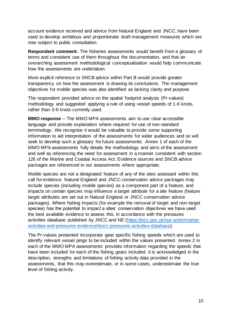account evidence received and advice from Natural England and JNCC, have been used to develop ambitious and proportionate draft management measures which are now subject to public consultation.

**Respondent comment:** The fisheries assessments would benefit from a glossary of terms and consistent use of them throughout the documentation, and that an overarching assessment methodological conceptualisation would help communicate how the assessments are undertaken.

More explicit reference to SNCB advice within Part B would provide greater transparency on how the assessment is drawing its conclusions. The management objectives for mobile species was also identified as lacking clarity and purpose.

The respondent provided advice on the spatial footprint analysis (Pr-values) methodology and suggested applying a rule of using vessel speeds of 1-6 knots, rather than 0-6 knots currently used.

**MMO response** – The MMO MPA assessments aim to use clear accessible language and provide explanation where required for use of non-standard terminology. We recognise it would be valuable to provide some supporting information to aid interpretation of the assessments for wider audiences and so will seek to develop such a glossary for future assessments. Annex 1 of each of the MMO MPA assessments fully details the methodology and aims of the assessment and well as referencing the need for assessment in a manner consistent with section 126 of the Marine and Coastal Access Act. Evidence sources and SNCB advice packages are referenced in our assessments where appropriate.

Mobile species are not a designated feature of any of the sites assessed within this call for evidence. Natural England and JNCC conservation advice packages may include species (including mobile species) as a component part of a feature, and impacts on certain species may influence a target attribute for a site feature (feature target attributes are set out in Natural England or JNCC conservation advice packages). Where fishing impacts (for example the removal of target and non-target species) has the potential to impact a sites' conservation objectives we have used the best available evidence to assess this, in accordance with the pressures activities database published by JNCC and NE [\(https://jncc.gov.uk/our-work/marine](https://jncc.gov.uk/our-work/marine-activities-and-pressures-evidence/#jncc-pressures-activities-database)[activities-and-pressures-evidence/#jncc-pressures-activities-database\).](https://jncc.gov.uk/our-work/marine-activities-and-pressures-evidence/#jncc-pressures-activities-database)

The Pr-values presented incorporate gear specific fishing speeds which are used to identify relevant vessel pings to be included within the values presented. Annex 2 in each of the MMO MPA assessments provides information regarding the speeds that have been included for each of the fishing gears included. It is acknowledged in the description, strengths and limitations of fishing activity data provided in the assessments, that this may overestimate, or in some cases, underestimate the true level of fishing activity.